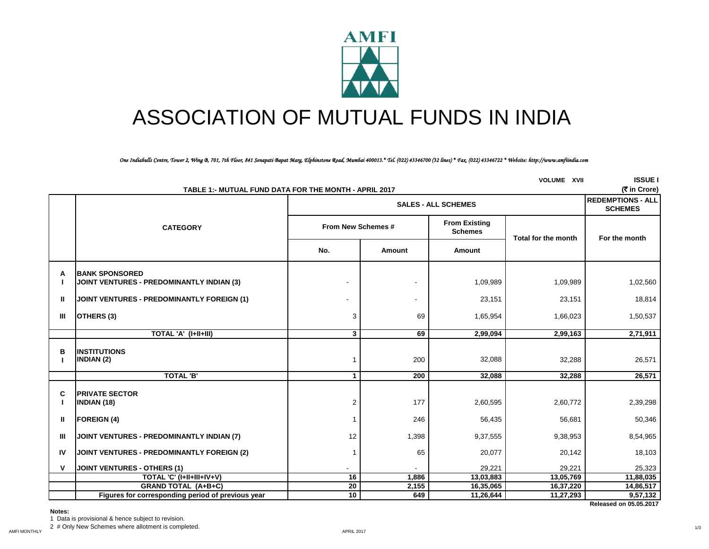

# ASSOCIATION OF MUTUAL FUNDS IN INDIA

*One Indiabulls Centre, Tower 2, Wing B, 701, 7th Floor, 841 Senapati Bapat Marg, Elphinstone Road, Mumbai 400013.\* Tel. (022) 43346700 (32 lines) \* Fax. (022) 43346722 \* Website: http://www.amfiindia.com*

| <b>VOLUME XVII</b><br>TABLE 1:- MUTUAL FUND DATA FOR THE MONTH - APRIL 2017 |                                                                           |                          |                                                              |           |                        |                        |  |  |  |
|-----------------------------------------------------------------------------|---------------------------------------------------------------------------|--------------------------|--------------------------------------------------------------|-----------|------------------------|------------------------|--|--|--|
|                                                                             |                                                                           |                          | <b>REDEMPTIONS - ALL</b><br><b>SCHEMES</b>                   |           |                        |                        |  |  |  |
|                                                                             | <b>CATEGORY</b>                                                           |                          | <b>From Existing</b><br>From New Schemes #<br><b>Schemes</b> |           |                        | For the month          |  |  |  |
|                                                                             |                                                                           | No.                      | Amount                                                       | Amount    | Total for the month    |                        |  |  |  |
| A                                                                           | <b>BANK SPONSORED</b><br><b>JOINT VENTURES - PREDOMINANTLY INDIAN (3)</b> | $\overline{\phantom{a}}$ |                                                              | 1,09,989  | 1,09,989               | 1,02,560               |  |  |  |
| Ш                                                                           | JOINT VENTURES - PREDOMINANTLY FOREIGN (1)                                |                          | ٠                                                            | 23,151    | 23,151                 | 18,814                 |  |  |  |
| Ш                                                                           | OTHERS (3)                                                                | 3                        | 69                                                           | 1,65,954  | 1,66,023               | 1,50,537               |  |  |  |
|                                                                             | TOTAL 'A' (I+II+III)                                                      | $\mathbf{3}$             | 69                                                           | 2,99,094  | 2,99,163               | 2,71,911               |  |  |  |
| в                                                                           | <b>INSTITUTIONS</b><br><b>INDIAN (2)</b>                                  | f.                       | 200                                                          | 32,088    | 32,288                 | 26,571                 |  |  |  |
|                                                                             | <b>TOTAL 'B'</b>                                                          | $\mathbf 1$              | 200                                                          | 32,088    | 32,288                 | 26,571                 |  |  |  |
| C                                                                           | <b>PRIVATE SECTOR</b><br><b>INDIAN (18)</b>                               | 2                        | 177                                                          | 2,60,595  | 2,60,772               | 2,39,298               |  |  |  |
| Ш                                                                           | <b>FOREIGN (4)</b>                                                        |                          | 246                                                          | 56,435    | 56,681                 | 50,346                 |  |  |  |
| Ш                                                                           | JOINT VENTURES - PREDOMINANTLY INDIAN (7)                                 | 12                       | 1,398                                                        | 9,37,555  | 9,38,953               | 8,54,965               |  |  |  |
| <b>IV</b>                                                                   | <b>JOINT VENTURES - PREDOMINANTLY FOREIGN (2)</b>                         | f.                       | 65                                                           | 20,077    | 20,142                 | 18,103                 |  |  |  |
| v                                                                           | <b>JOINT VENTURES - OTHERS (1)</b>                                        |                          |                                                              | 29,221    | 29,221                 | 25,323                 |  |  |  |
|                                                                             | TOTAL 'C' (I+II+III+IV+V)                                                 | 16                       | 1,886                                                        | 13,03,883 | 13,05,769              | 11,88,035              |  |  |  |
|                                                                             | <b>GRAND TOTAL (A+B+C)</b>                                                | 20<br>10 <sup>°</sup>    | 2,155<br>649                                                 | 16,35,065 | 16,37,220<br>11,27,293 | 14,86,517<br>9,57,132  |  |  |  |
|                                                                             | Figures for corresponding period of previous year                         |                          |                                                              | 11,26,644 |                        | Released on 05.05.2017 |  |  |  |

**Notes:**

1 Data is provisional & hence subject to revision.

2 # Only New Schemes where allotment is completed.

1/3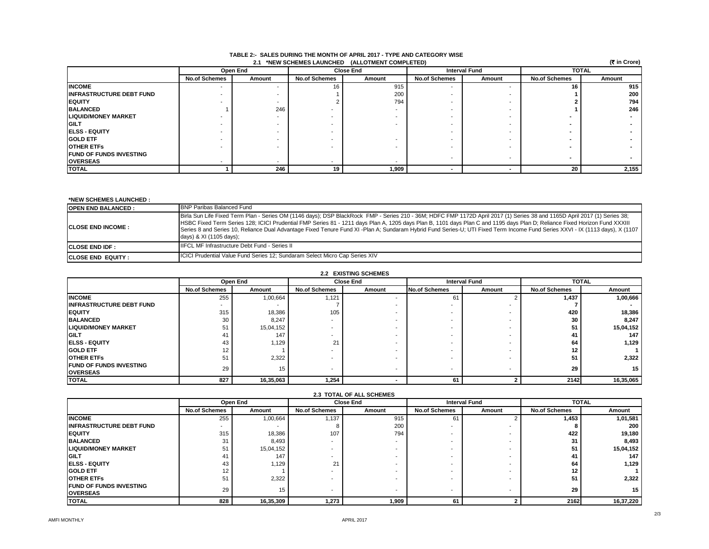| 2.1 *NEW SCHEMES LAUNCHED (ALLOTMENT COMPLETED) |                      |                          |                          |        |                      |        |                      | (रैं in Crore) |
|-------------------------------------------------|----------------------|--------------------------|--------------------------|--------|----------------------|--------|----------------------|----------------|
|                                                 |                      | Open End                 | <b>Close End</b>         |        | <b>Interval Fund</b> |        | <b>TOTAL</b>         |                |
|                                                 | <b>No.of Schemes</b> | Amount                   | <b>No.of Schemes</b>     | Amount | <b>No.of Schemes</b> | Amount | <b>No.of Schemes</b> | Amount         |
| <b>INCOME</b>                                   |                      |                          |                          | 915    |                      |        | 16                   | 915            |
| <b>INFRASTRUCTURE DEBT FUND</b>                 |                      |                          |                          | 200    |                      |        |                      | 200            |
| <b>IEQUITY</b>                                  |                      |                          |                          | 794    |                      |        |                      | 794            |
| <b>BALANCED</b>                                 |                      | 246                      |                          |        |                      |        |                      | 246            |
| <b>LIQUID/MONEY MARKET</b>                      |                      |                          |                          |        |                      |        |                      |                |
| <b>GILT</b>                                     |                      |                          |                          |        |                      |        |                      |                |
| <b>IELSS - EQUITY</b>                           |                      | $\overline{\phantom{a}}$ | $\overline{\phantom{a}}$ |        |                      |        |                      |                |
| <b>GOLD ETF</b>                                 |                      | $\overline{\phantom{a}}$ |                          |        |                      |        |                      |                |
| <b>IOTHER ETFS</b>                              |                      |                          |                          |        |                      |        |                      |                |
| <b>IFUND OF FUNDS INVESTING</b>                 |                      |                          |                          |        |                      |        |                      |                |
| <b>OVERSEAS</b>                                 |                      |                          |                          |        |                      |        |                      |                |
| <b>TOTAL</b>                                    |                      | 246                      | 19                       | 1,909  |                      |        | 20                   | 2,155          |

#### **TABLE 2:- SALES DURING THE MONTH OF APRIL 2017 - TYPE AND CATEGORY WISE 2.1 \*NEW SCHEMES LAUNCHED (ALLOTMENT COMPLETED)**

## **\*NEW SCHEMES LAUNCHED :**

| <b>OPEN END BALANCED:</b> | <b>BNP Paribas Balanced Fund</b>                                                                                                                                                                                                                                                                                                                                                                                                                                                                                                                                    |
|---------------------------|---------------------------------------------------------------------------------------------------------------------------------------------------------------------------------------------------------------------------------------------------------------------------------------------------------------------------------------------------------------------------------------------------------------------------------------------------------------------------------------------------------------------------------------------------------------------|
| <b>ICLOSE END INCOME:</b> | Birla Sun Life Fixed Term Plan - Series OM (1146 days); DSP BlackRock FMP - Series 210 - 36M; HDFC FMP 1172D April 2017 (1) Series 38 and 1165D April 2017 (1) Series 38;<br>HSBC Fixed Term Series 128; ICICI Prudential FMP Series 81 - 1211 days Plan A, 1205 days Plan B, 1101 days Plan C and 1195 days Plan D; Reliance Fixed Horizon Fund XXXIII<br>Series 8 and Series 10, Reliance Dual Advantage Fixed Tenure Fund XI -Plan A; Sundaram Hybrid Fund Series-U; UTI Fixed Term Income Fund Series XXVI - IX (1113 days), X (1107<br>days) & XI (1105 days); |
| <b>ICLOSE END IDF :</b>   | <b>IIFCL MF Infrastructure Debt Fund - Series II</b>                                                                                                                                                                                                                                                                                                                                                                                                                                                                                                                |
| <b>ICLOSE END EQUITY:</b> | ICICI Prudential Value Fund Series 12; Sundaram Select Micro Cap Series XIV                                                                                                                                                                                                                                                                                                                                                                                                                                                                                         |

| 2.2 EXISTING SCHEMES            |                          |           |                      |        |                      |                          |                      |                 |
|---------------------------------|--------------------------|-----------|----------------------|--------|----------------------|--------------------------|----------------------|-----------------|
|                                 | Open End                 |           | <b>Close End</b>     |        | <b>Interval Fund</b> |                          | <b>TOTAL</b>         |                 |
|                                 | <b>No.of Schemes</b>     | Amount    | <b>No.of Schemes</b> | Amount | <b>No.of Schemes</b> | Amount                   | <b>No.of Schemes</b> | Amount          |
| <b>INCOME</b>                   | 255                      | 1,00,664  | 1,121                |        | 61                   |                          | 1,437                | 1,00,666        |
| <b>INFRASTRUCTURE DEBT FUND</b> | $\overline{\phantom{a}}$ |           |                      |        |                      |                          |                      |                 |
| <b>IEQUITY</b>                  | 315                      | 18,386    | 105                  |        |                      |                          | 420                  | 18,386          |
| <b>BALANCED</b>                 | 30                       | 8,247     | . .                  |        |                      |                          | 30                   | 8.247           |
| <b>LIQUID/MONEY MARKET</b>      | 51                       | 15,04,152 | . .                  |        |                      |                          | 51                   | 15,04,152       |
| <b>IGILT</b>                    | 41                       | 147       |                      |        |                      |                          | 41                   | 147             |
| <b>IELSS - EQUITY</b>           | 43                       | 1,129     | 21                   |        |                      |                          | 64                   | 1,129           |
| <b>GOLD ETF</b>                 | 12                       |           |                      |        |                      |                          | 12                   |                 |
| <b>IOTHER ETFS</b>              | 51                       | 2,322     |                      |        |                      |                          | 51                   | 2,322           |
| <b>IFUND OF FUNDS INVESTING</b> | 29                       | 15        | $\sim$               | -      |                      | $\overline{\phantom{a}}$ | 29                   | 15 <sub>1</sub> |
| <b>OVERSEAS</b>                 |                          |           |                      |        |                      |                          |                      |                 |
| <b>TOTAL</b>                    | 827                      | 16,35,063 | 1,254                |        | 61                   |                          | 2142                 | 16,35,065       |

| <b>2.3 TOTAL OF ALL SCHEMES</b>  |                      |           |                          |        |                          |        |                      |           |
|----------------------------------|----------------------|-----------|--------------------------|--------|--------------------------|--------|----------------------|-----------|
|                                  | Open End             |           | <b>Close End</b>         |        | <b>Interval Fund</b>     |        | <b>TOTAL</b>         |           |
|                                  | <b>No.of Schemes</b> | Amount    | <b>No.of Schemes</b>     | Amount | <b>No.of Schemes</b>     | Amount | <b>No.of Schemes</b> | Amount    |
| <b>INCOME</b>                    | 255                  | 1,00,664  | 1,137                    | 915    | 61                       |        | 1,453                | 1,01,581  |
| <b>IINFRASTRUCTURE DEBT FUND</b> |                      |           |                          | 200    | -                        |        |                      | 200       |
| <b>EQUITY</b>                    | 315                  | 18,386    | 107                      | 794    | -                        |        | 422                  | 19,180    |
| <b>BALANCED</b>                  | 31                   | 8,493     | $\overline{\phantom{a}}$ |        | -                        |        | 31                   | 8,493     |
| <b>LIQUID/MONEY MARKET</b>       | 51                   | 15,04,152 | $\overline{\phantom{a}}$ |        | -                        |        | 51                   | 15,04,152 |
| <b>IGILT</b>                     | 41                   | 147       | $\overline{\phantom{a}}$ |        | -                        |        | 41                   | 147       |
| <b>IELSS - EQUITY</b>            | 43                   | 1,129     | ː                        |        | -                        |        | 64                   | 1,129     |
| <b>GOLD ETF</b>                  | 12                   |           | $\overline{\phantom{a}}$ |        | $\overline{\phantom{a}}$ |        | 12                   |           |
| <b>OTHER ETFS</b>                | 51                   | 2,322     | $\overline{\phantom{a}}$ |        | -                        |        | 51                   | 2,322     |
| <b>IFUND OF FUNDS INVESTING</b>  | 29                   | 15        |                          |        | $\overline{\phantom{a}}$ |        | 29                   | 15        |
| <b>OVERSEAS</b>                  |                      |           |                          |        |                          |        |                      |           |
| <b>TOTAL</b>                     | 828                  | 16,35,309 | 1,273                    | 1,909  | 61                       |        | 2162                 | 16,37,220 |